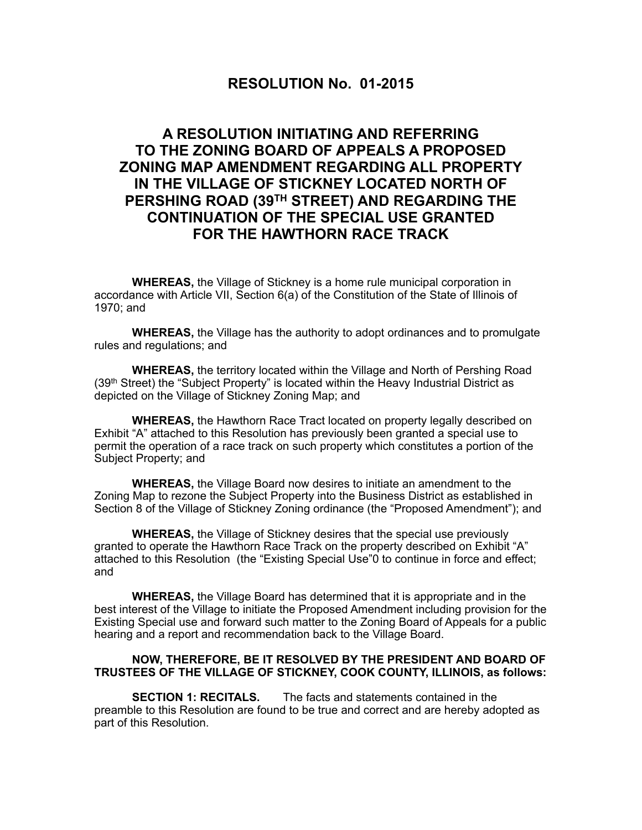## **RESOLUTION No. 01-2015**

## **A RESOLUTION INITIATING AND REFERRING TO THE ZONING BOARD OF APPEALS A PROPOSED ZONING MAP AMENDMENT REGARDING ALL PROPERTY IN THE VILLAGE OF STICKNEY LOCATED NORTH OF PERSHING ROAD (39TH STREET) AND REGARDING THE CONTINUATION OF THE SPECIAL USE GRANTED FOR THE HAWTHORN RACE TRACK**

 **WHEREAS,** the Village of Stickney is a home rule municipal corporation in accordance with Article VII, Section 6(a) of the Constitution of the State of Illinois of 1970; and

**WHEREAS,** the Village has the authority to adopt ordinances and to promulgate rules and regulations; and

**WHEREAS,** the territory located within the Village and North of Pershing Road (39<sup>th</sup> Street) the "Subject Property" is located within the Heavy Industrial District as depicted on the Village of Stickney Zoning Map; and

**WHEREAS,** the Hawthorn Race Tract located on property legally described on Exhibit "A" attached to this Resolution has previously been granted a special use to permit the operation of a race track on such property which constitutes a portion of the Subject Property; and

**WHEREAS,** the Village Board now desires to initiate an amendment to the Zoning Map to rezone the Subject Property into the Business District as established in Section 8 of the Village of Stickney Zoning ordinance (the "Proposed Amendment"); and

**WHEREAS,** the Village of Stickney desires that the special use previously granted to operate the Hawthorn Race Track on the property described on Exhibit "A" attached to this Resolution (the "Existing Special Use"0 to continue in force and effect; and

**WHEREAS,** the Village Board has determined that it is appropriate and in the best interest of the Village to initiate the Proposed Amendment including provision for the Existing Special use and forward such matter to the Zoning Board of Appeals for a public hearing and a report and recommendation back to the Village Board.

## **NOW, THEREFORE, BE IT RESOLVED BY THE PRESIDENT AND BOARD OF TRUSTEES OF THE VILLAGE OF STICKNEY, COOK COUNTY, ILLINOIS, as follows:**

 **SECTION 1: RECITALS.** The facts and statements contained in the preamble to this Resolution are found to be true and correct and are hereby adopted as part of this Resolution.